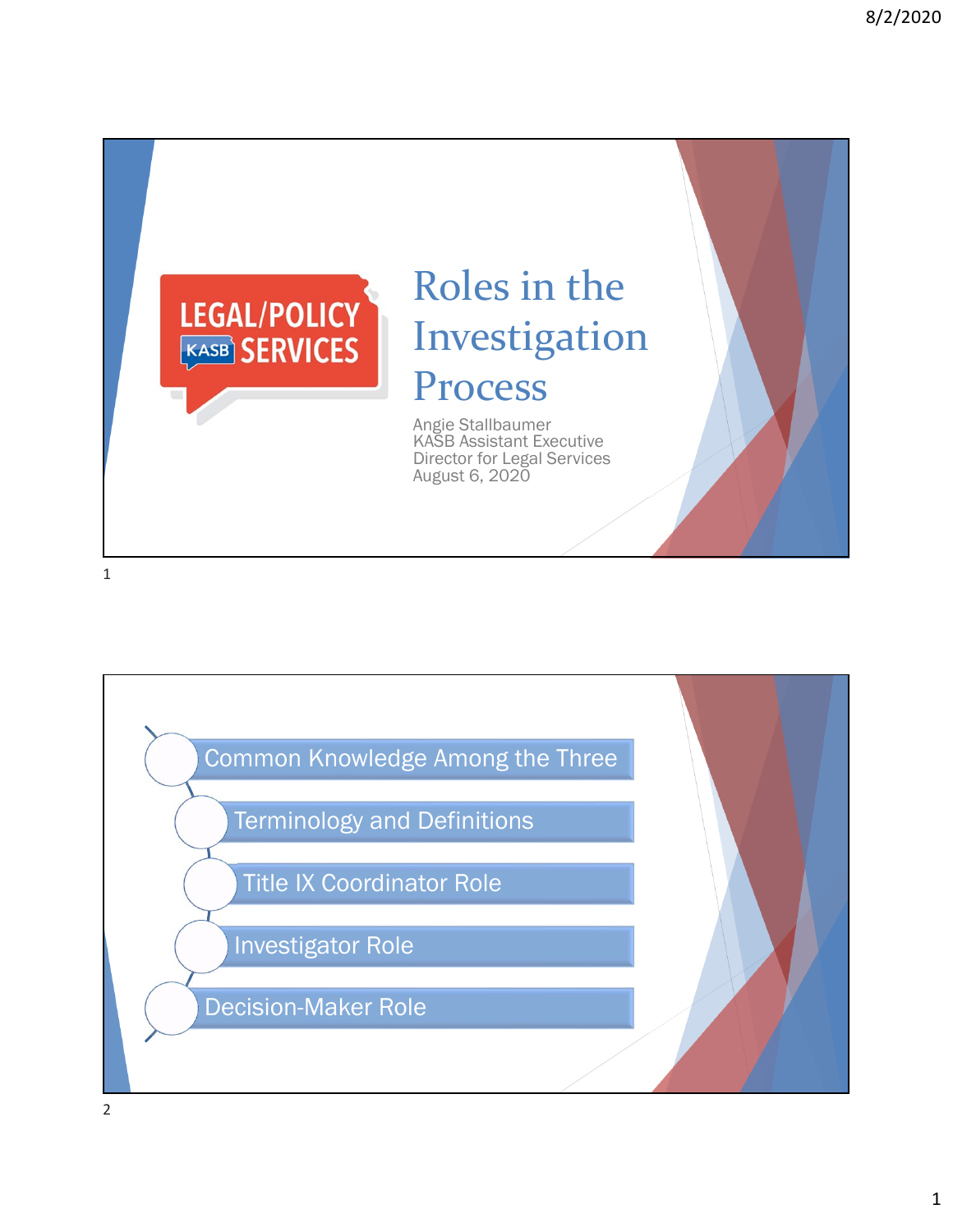

# Roles in the Investigation Process

Angie Stallbaumer KASB Assistant Executive Director for Legal Services August 6, 2020

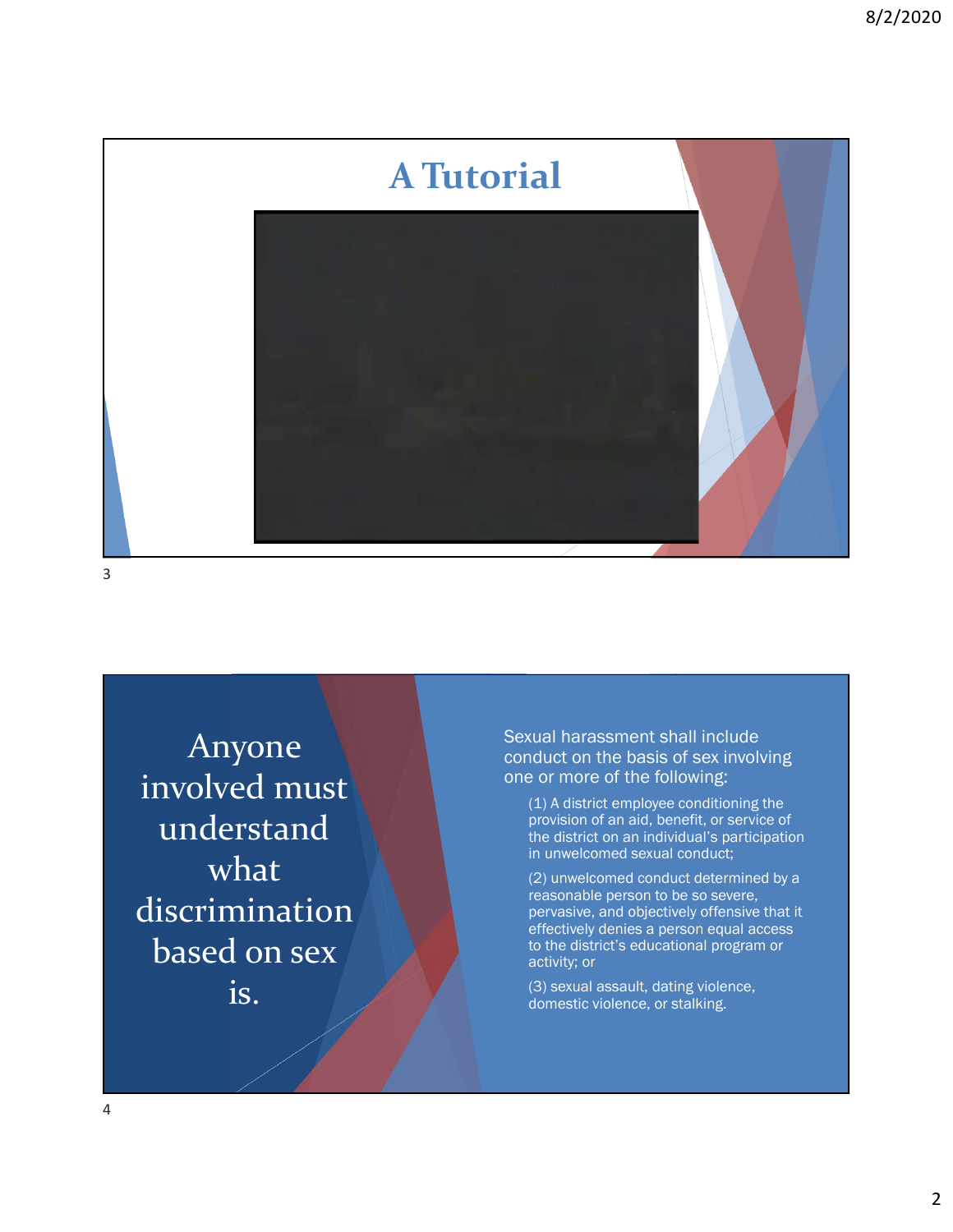

Anyone involved must understand what discrimination based on sex is.

 Sexual harassment shall include conduct on the basis of sex involving one or more of the following:

 (1) A district employee conditioning the provision of an aid, benefit, or service of the district on an individual's participation in unwelcomed sexual conduct;

 (2) unwelcomed conduct determined by a reasonable person to be so severe, pervasive, and objectively offensive that it effectively denies a person equal access to the district's educational program or activity; or

 (3) sexual assault, dating violence, domestic violence, or stalking.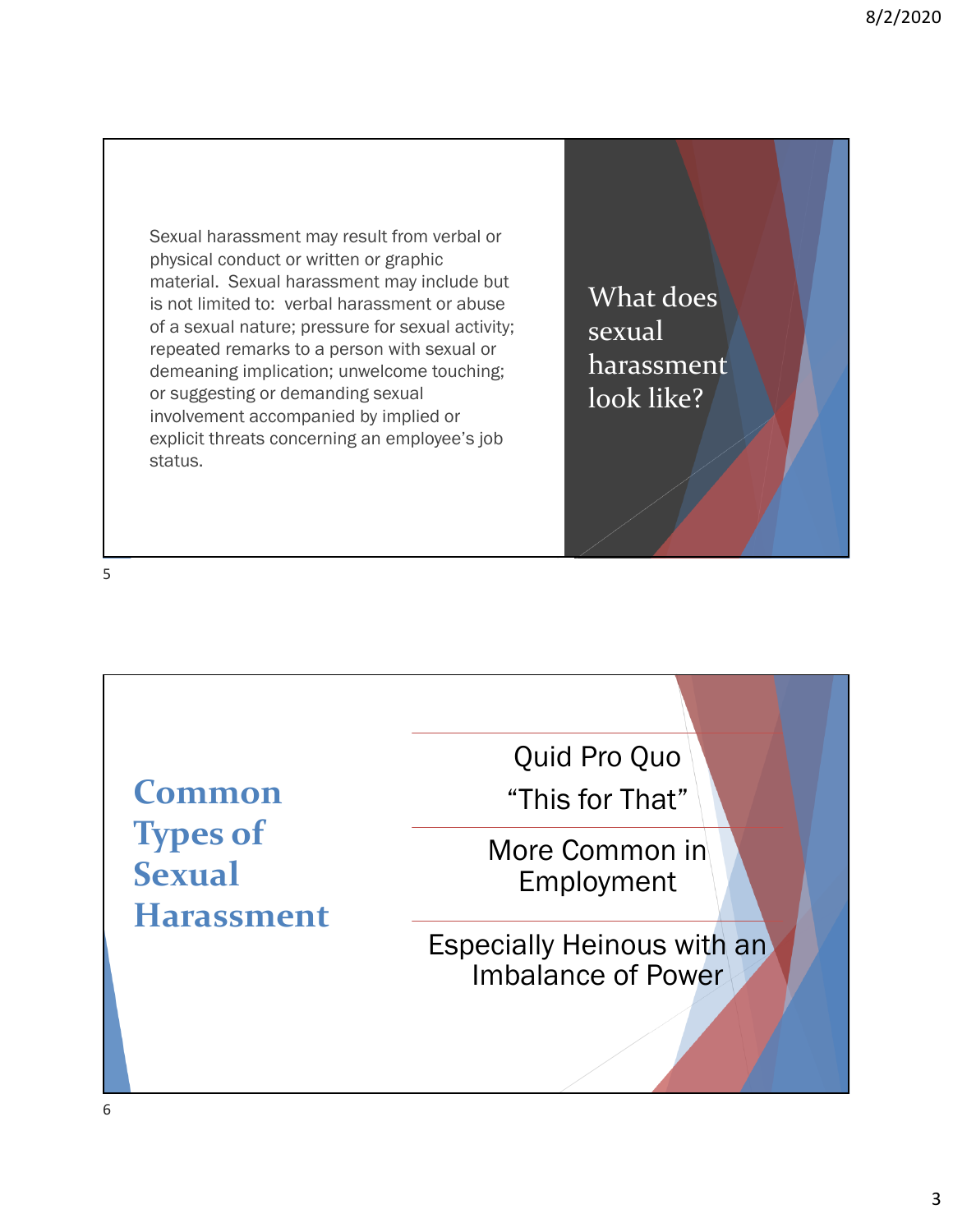Sexual harassment may result from verbal or physical conduct or written or graphic material. Sexual harassment may include but is not limited to: verbal harassment or abuse of a sexual nature; pressure for sexual activity; repeated remarks to a person with sexual or demeaning implication; unwelcome touching; or suggesting or demanding sexual involvement accompanied by implied or explicit threats concerning an employee's job status.

What does sexual harassment look like?

5

**Common Types of Sexual Harassment**

Quid Pro Quo "This for That"

More Common in Employment

Especially Heinous with an Imbalance of Power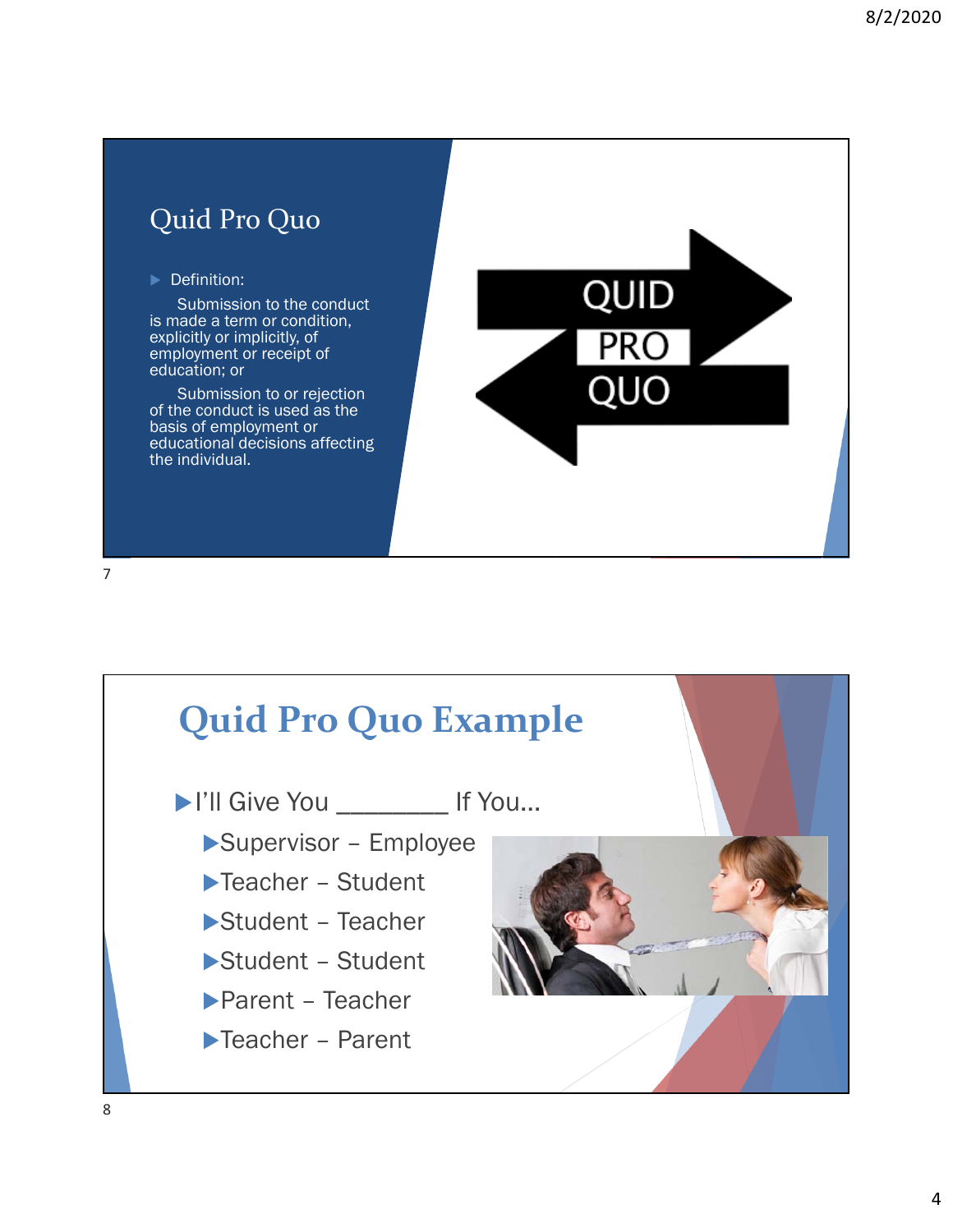



▶I'll Give You \_\_\_\_\_\_\_\_\_ If You...

- Supervisor Employee
- Teacher Student
- Student Teacher
- Student Student
- Parent Teacher
- ▶Teacher Parent

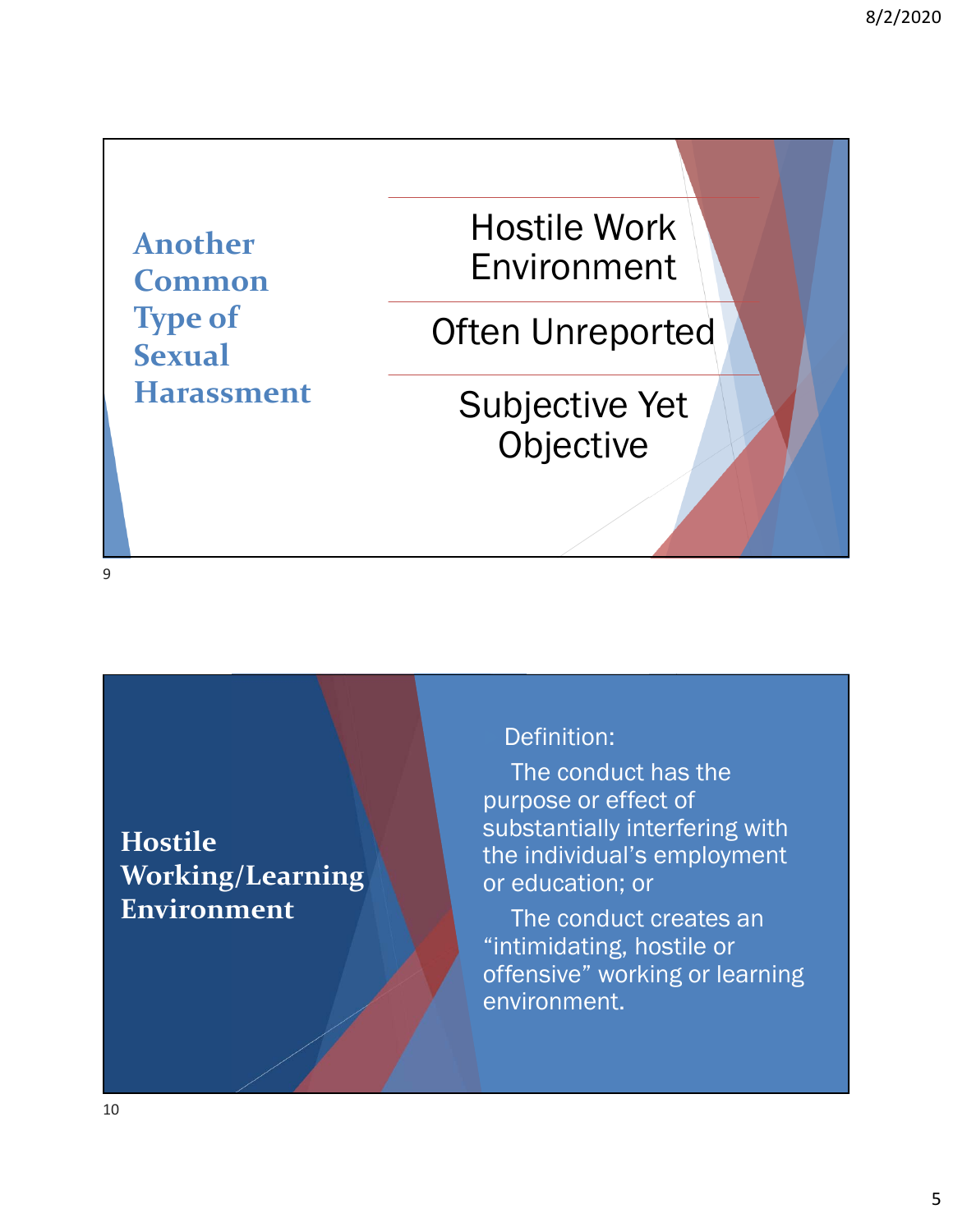**Another Common Type of Sexual Harassment** Hostile Work Environment

Often Unreported

Subjective Yet Objective

9

**Hostile Working/Learning Environment**

#### Definition:

The conduct has the purpose or effect of substantially interfering with the individual's employment or education; or

The conduct creates an "intimidating, hostile or offensive" working or learning environment.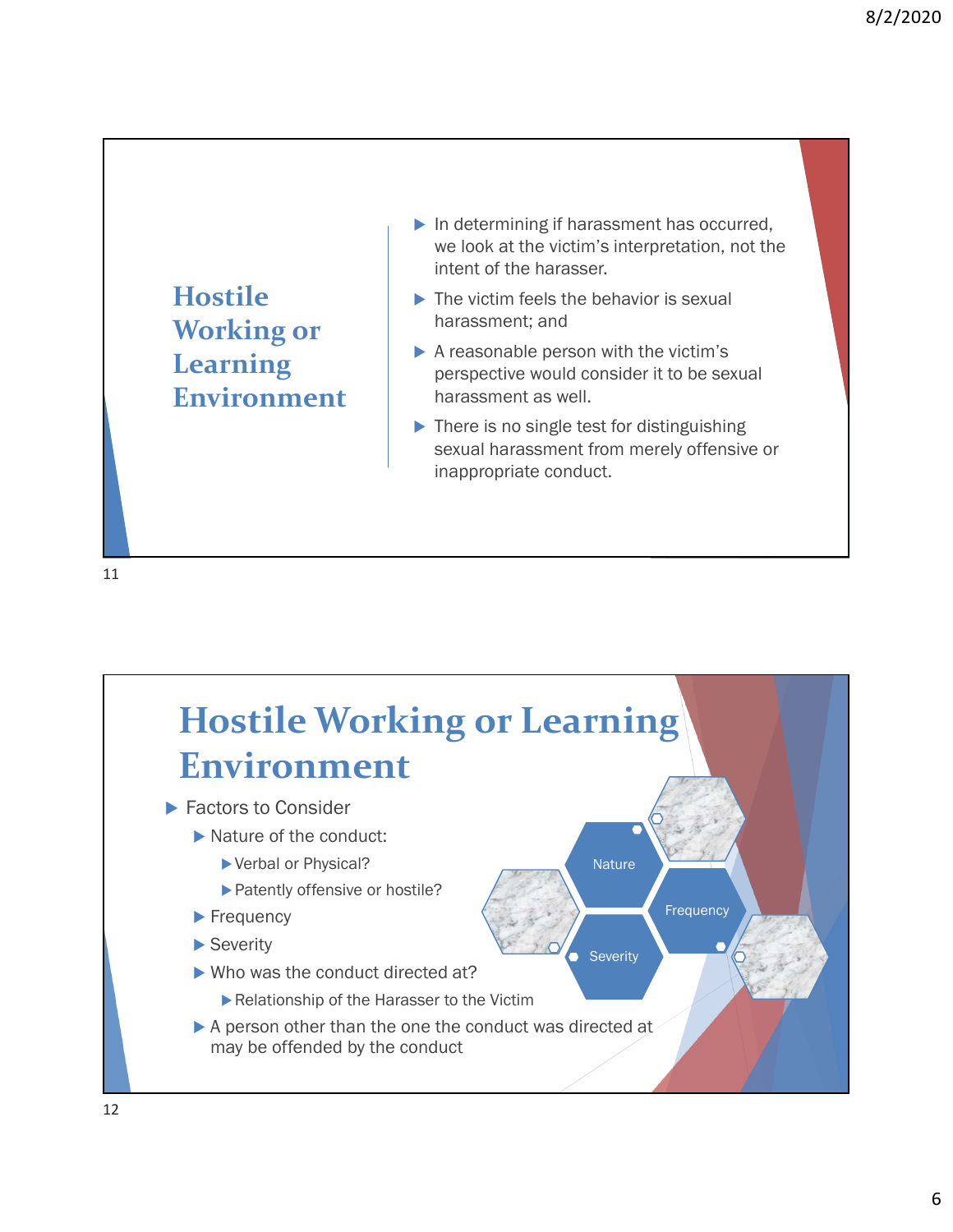**Hostile Working or Learning Environment**

- $\blacktriangleright$  In determining if harassment has occurred, we look at the victim's interpretation, not the intent of the harasser.
- $\blacktriangleright$  The victim feels the behavior is sexual harassment; and
- $\blacktriangleright$  A reasonable person with the victim's perspective would consider it to be sexual harassment as well.
- $\blacktriangleright$  There is no single test for distinguishing sexual harassment from merely offensive or inappropriate conduct.

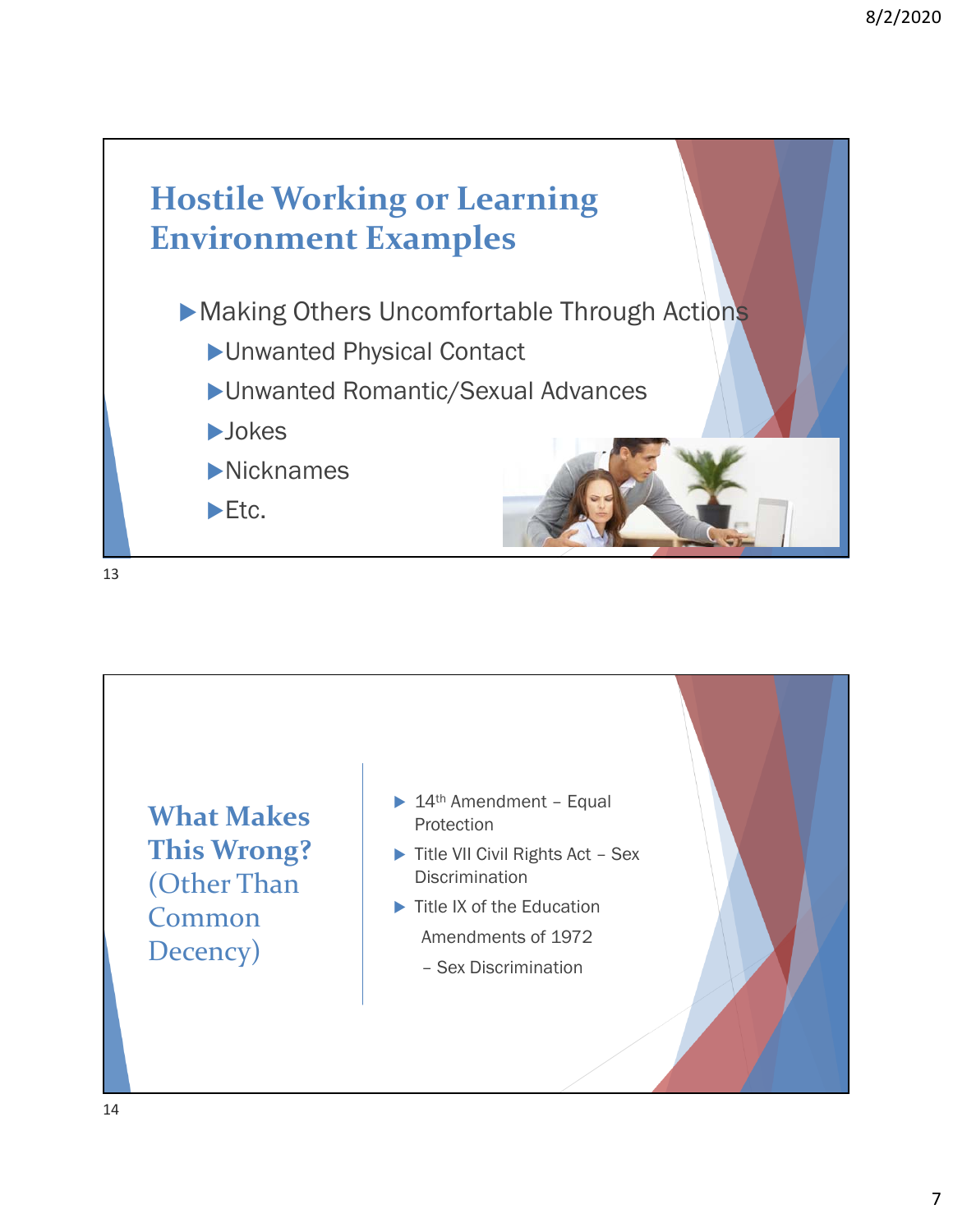

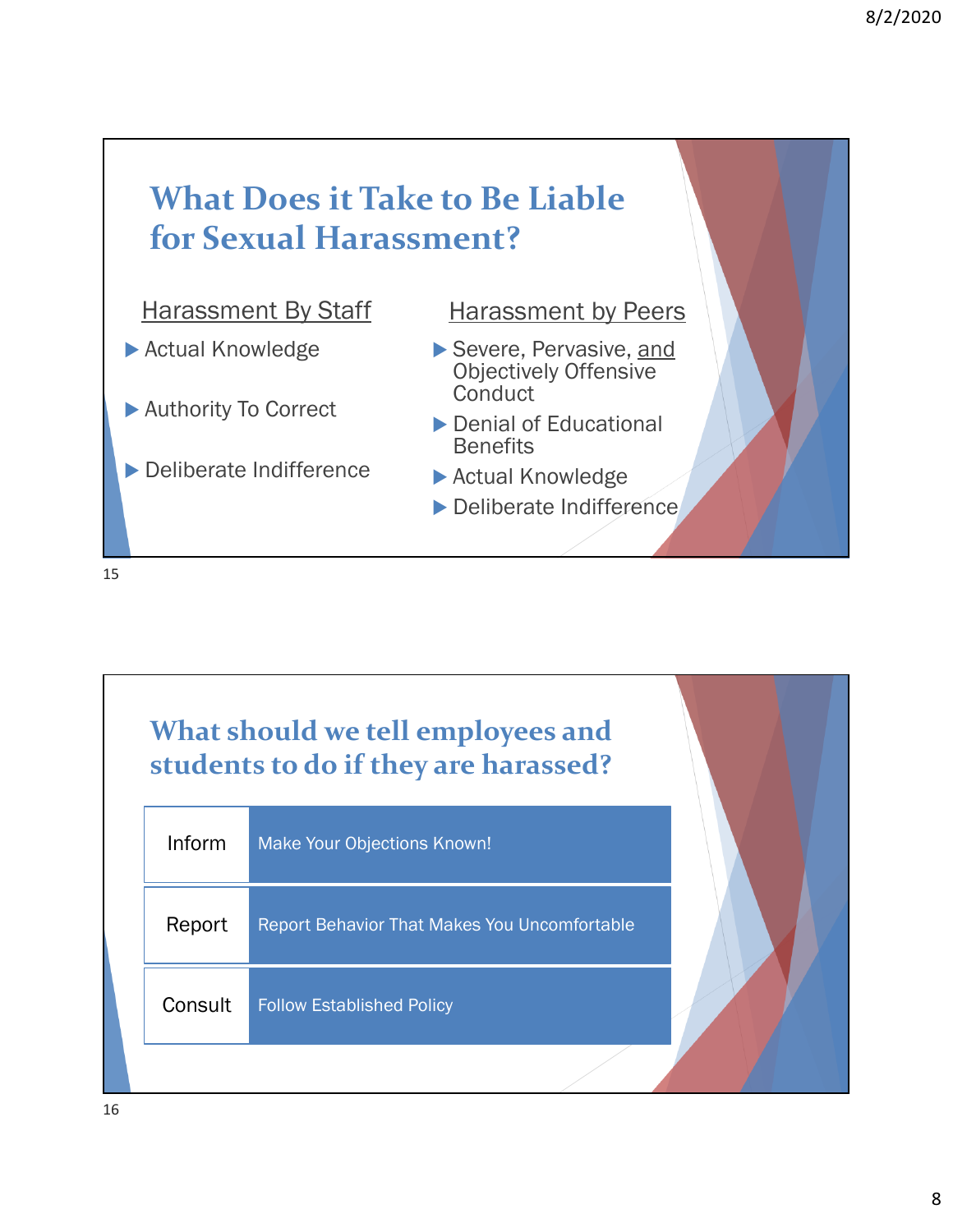



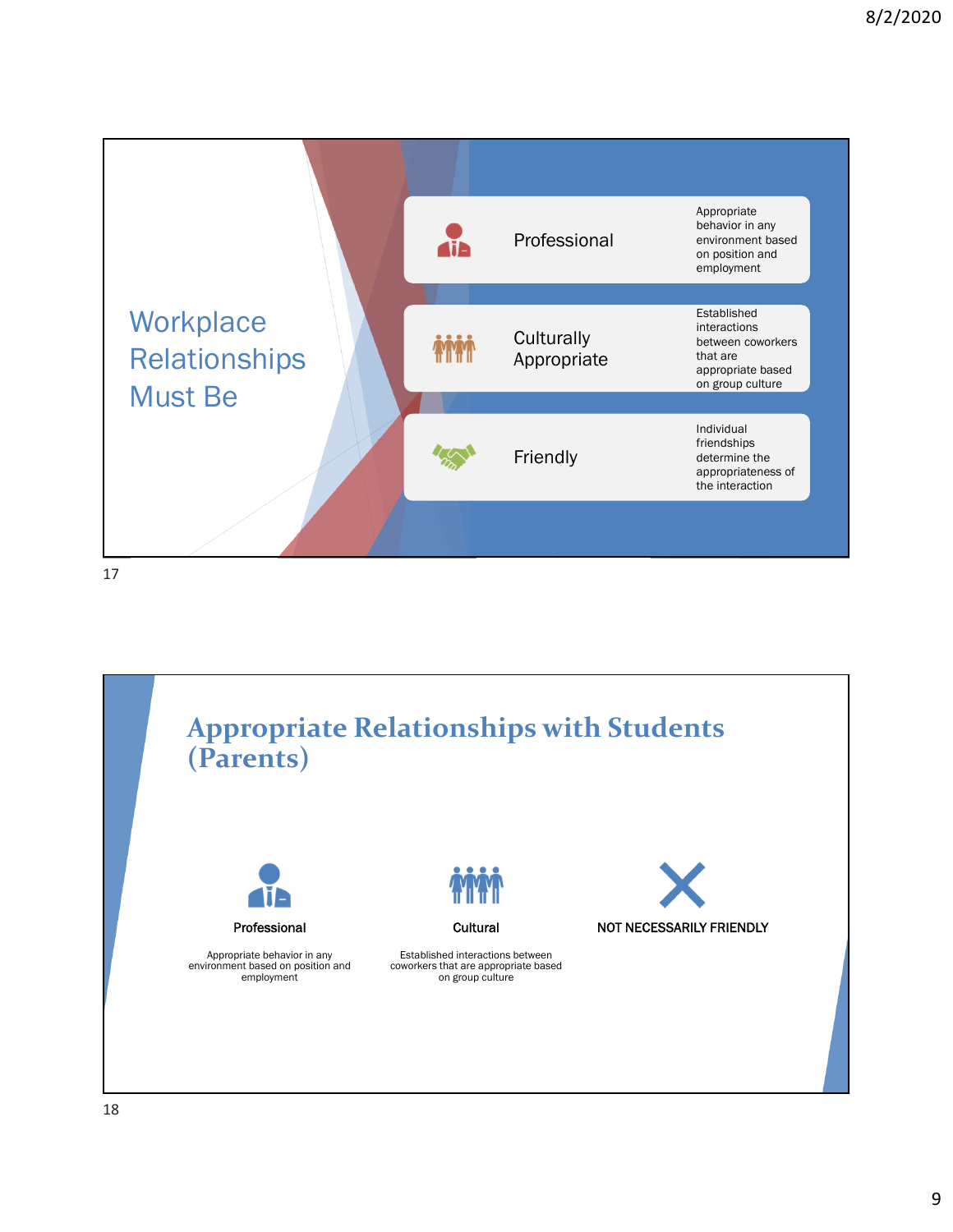

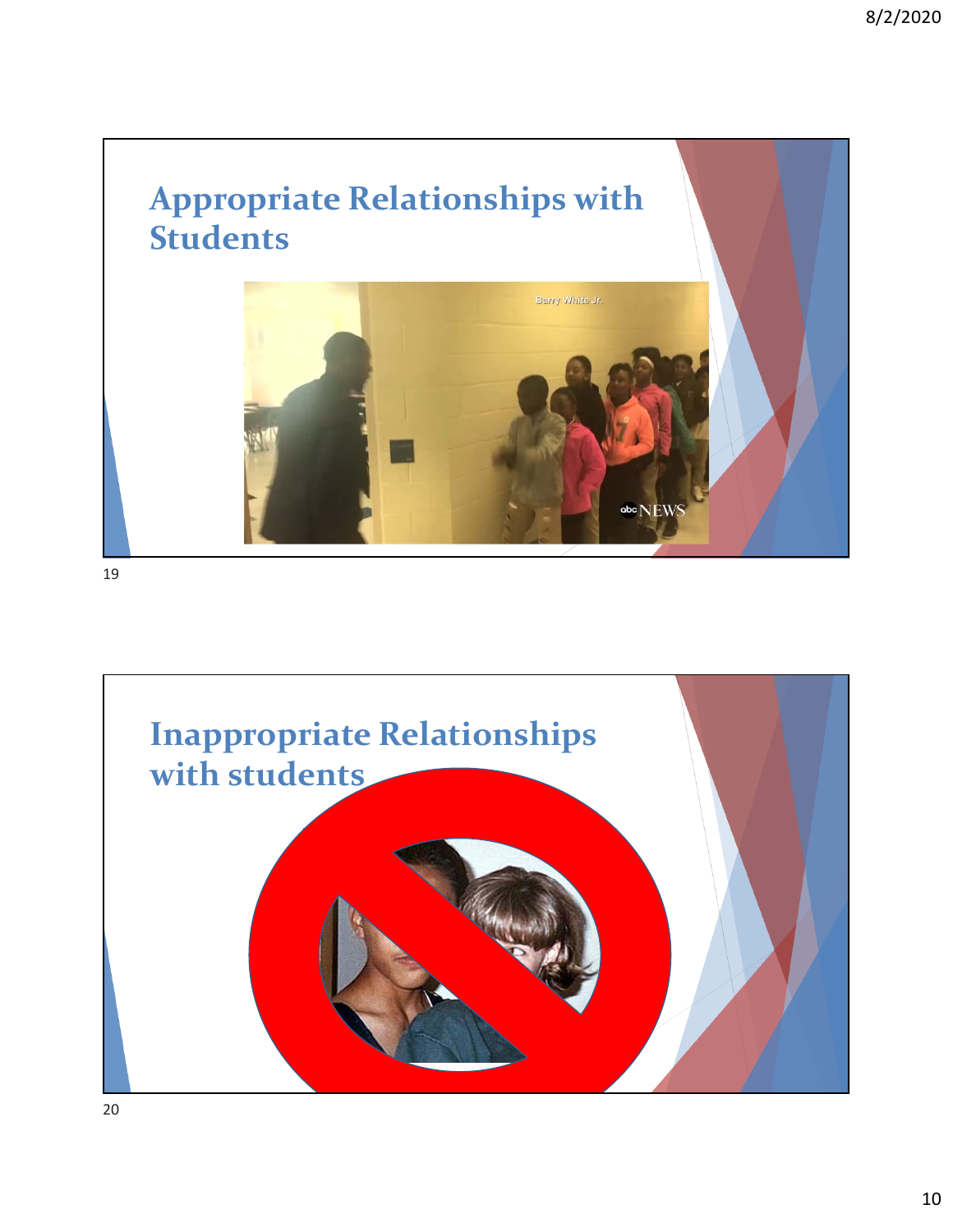

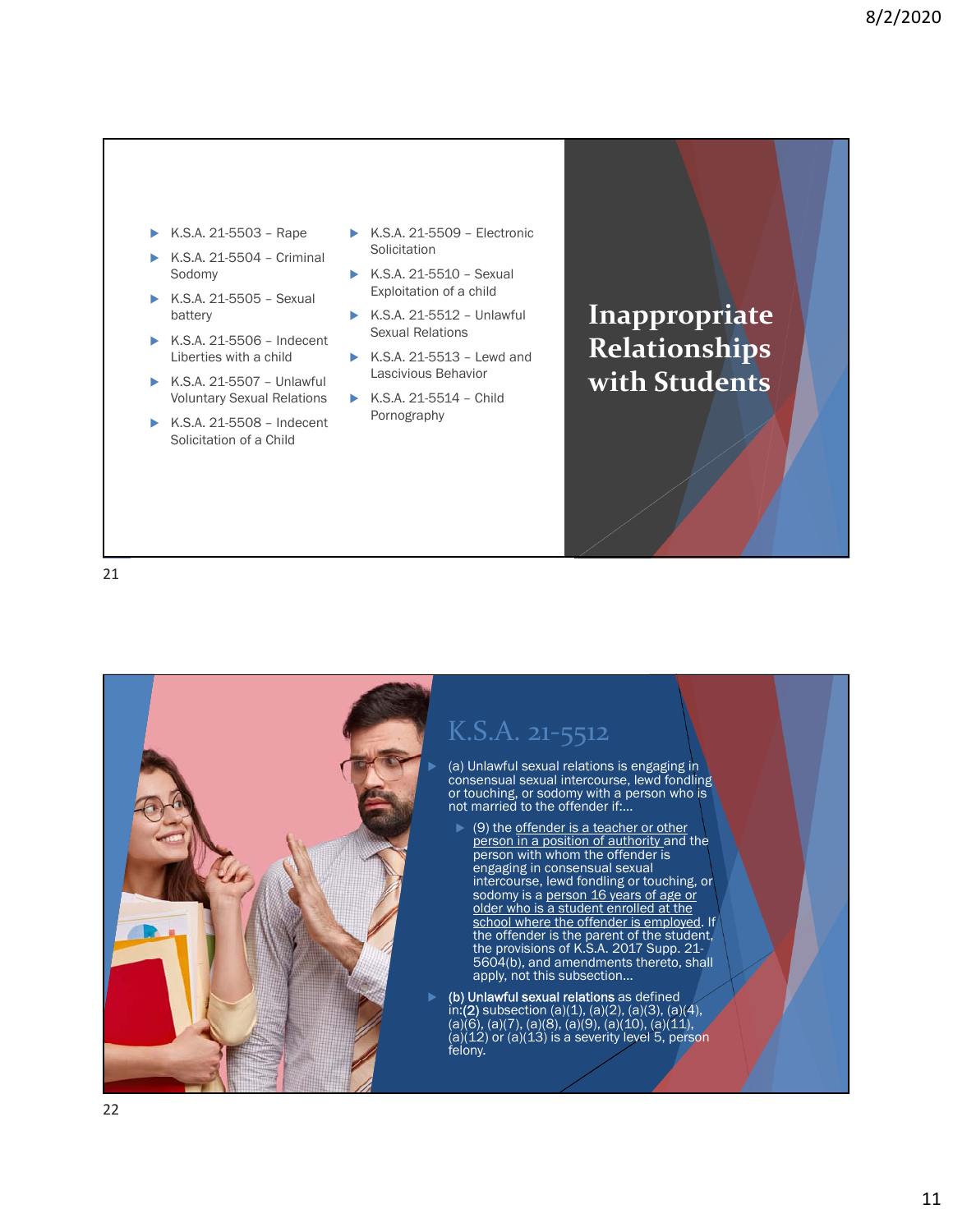- K.S.A. 21-5503 Rape
- K.S.A. 21-5504 Criminal Sodomy
- K.S.A. 21-5505 Sexual battery
- K.S.A. 21-5506 Indecent Liberties with a child
- K.S.A. 21-5507 Unlawful Voluntary Sexual Relations
- K.S.A. 21-5508 Indecent Solicitation of a Child
- K.S.A. 21-5509 Electronic **Solicitation**
- $\triangleright$  K.S.A. 21-5510 Sexual Exploitation of a child
- K.S.A. 21-5512 Unlawful Sexual Relations
- K.S.A. 21-5513 Lewd and Lascivious Behavior
- $\triangleright$  K.S.A. 21-5514 Child Pornography

**Inappropriate Relationships with Students**

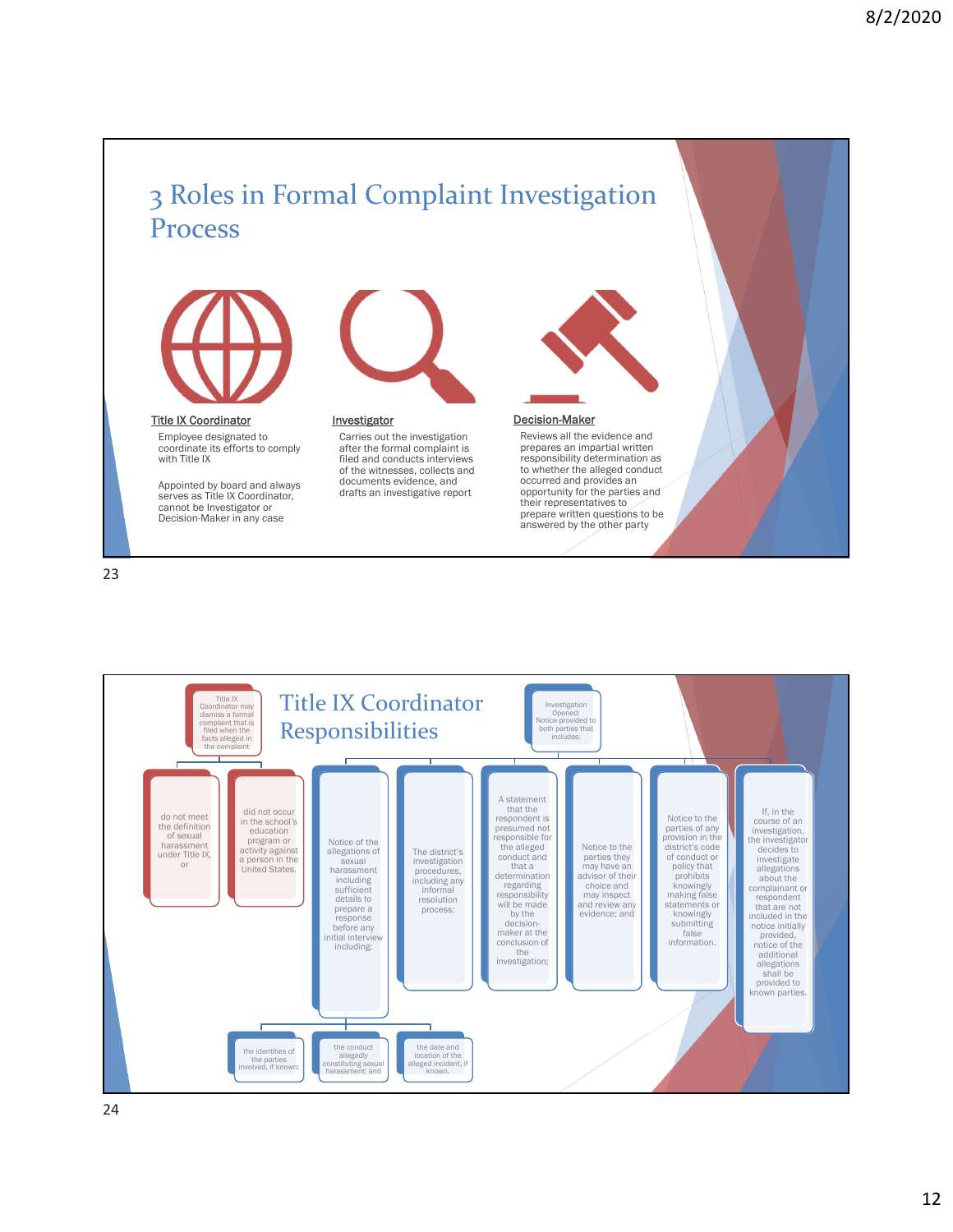## 3 Roles in Formal Complaint Investigation Process



Title IX Coordinator

Employee designated to coordinate its efforts to comply with Title IX

Appointed by board and always serves as Title IX Coordinator, cannot be Investigator or Decision-Maker in any case



**Investigator** 

Carries out the investigation after the formal complaint is filed and conducts interviews of the witnesses, collects and documents evidence, and drafts an investigative report



#### Decision-Maker

Reviews all the evidence and prepares an impartial written responsibility determination as to whether the alleged conduct occurred and provides an opportunity for the parties and their representatives to prepare written questions to be answered by the other party

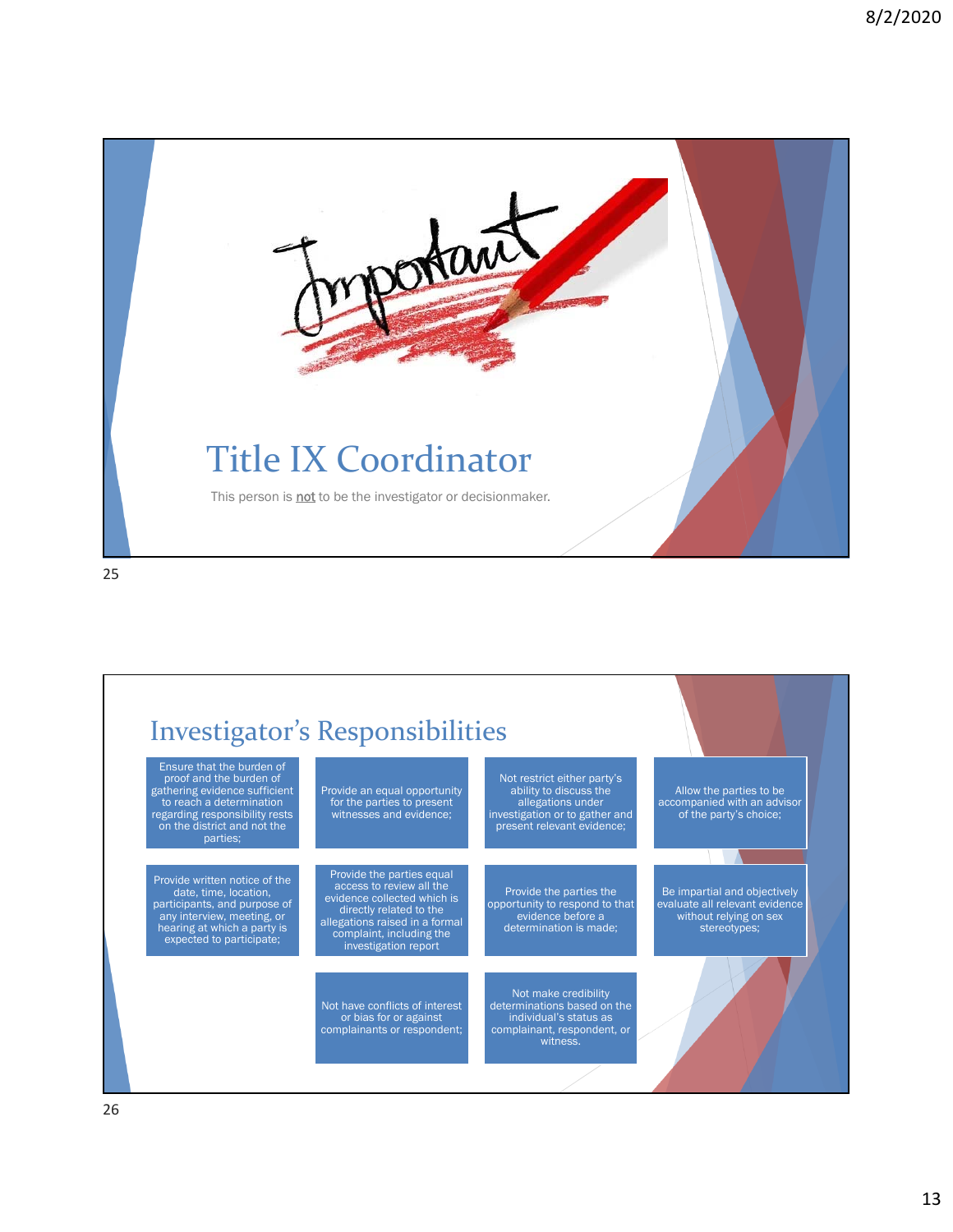

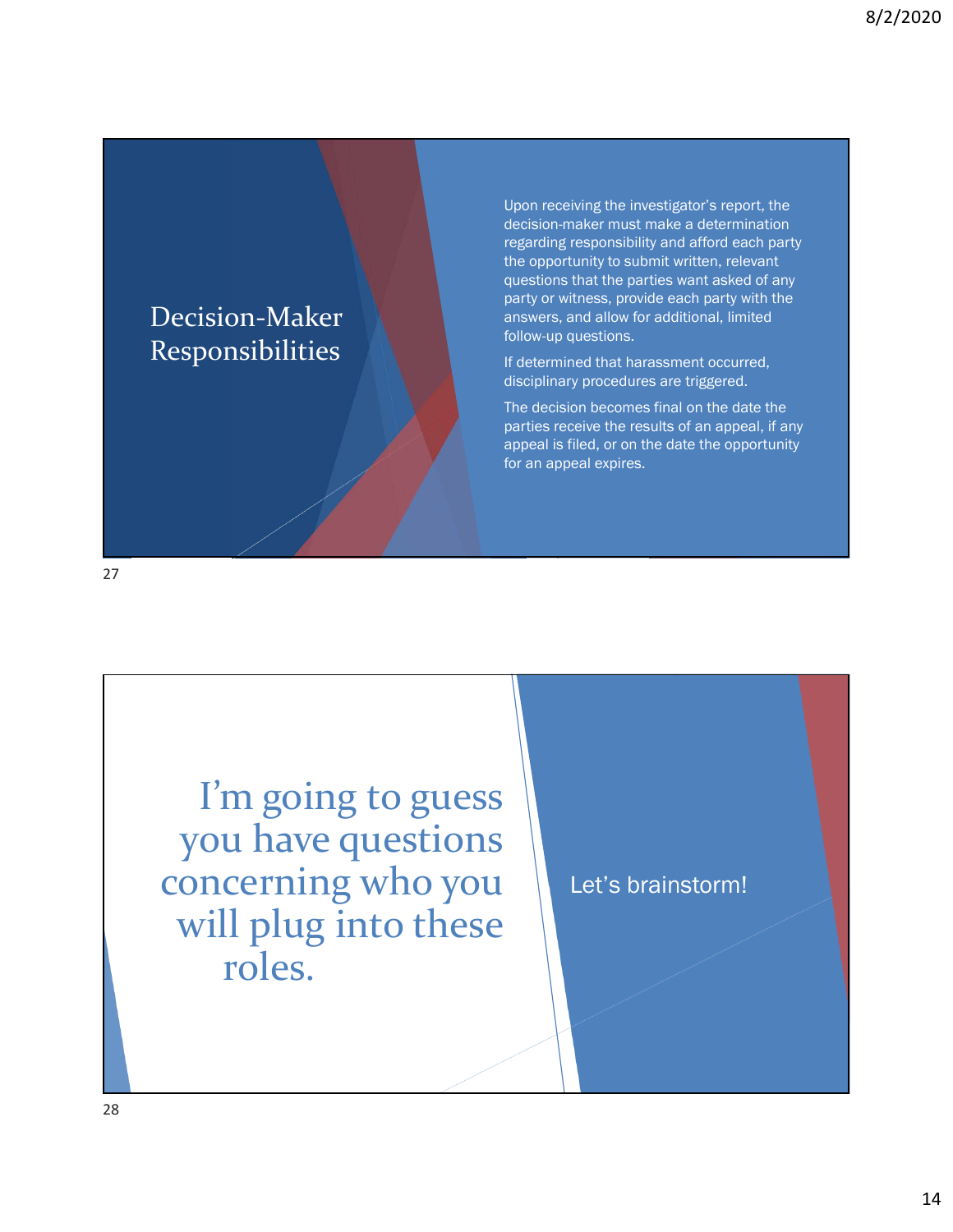### Decision‐Maker Responsibilities

 Upon receiving the investigator's report, the decision-maker must make a determination regarding responsibility and afford each party the opportunity to submit written, relevant questions that the parties want asked of any party or witness, provide each party with the answers, and allow for additional, limited follow-up questions.

 If determined that harassment occurred, disciplinary procedures are triggered.

 The decision becomes final on the date the parties receive the results of an appeal, if any appeal is filed, or on the date the opportunity for an appeal expires.

27

I'm going to guess you have questions concerning who you will plug into these roles.

Let's brainstorm!